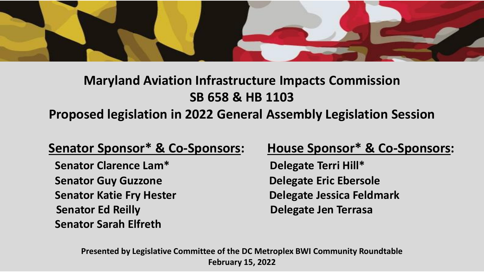

# **Maryland Aviation Infrastructure Impacts Commission SB 658 & HB 1103 Proposed legislation in 2022 General Assembly Legislation Session**

### **Senator Sponsor\* & Co-Sponsors: House Sponsor\* & Co-Sponsors:**

**Senator Clarence Lam\*** Delegate Terri Hill\* **Senator Guy Guzzone Delegate Eric Ebersole Senator Ed Reilly Delegate Jen Terrasa Senator Sarah Elfreth**

**Senator Katie Fry Hester Delegate Jessica Feldmark**

**Presented by Legislative Committee of the DC Metroplex BWI Community Roundtable February 15, 2022**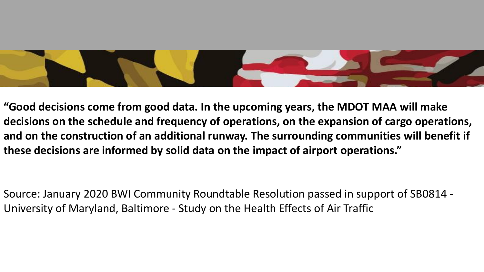

**"Good decisions come from good data. In the upcoming years, the MDOT MAA will make decisions on the schedule and frequency of operations, on the expansion of cargo operations, and on the construction of an additional runway. The surrounding communities will benefit if these decisions are informed by solid data on the impact of airport operations."** 

Source: January 2020 BWI Community Roundtable Resolution passed in support of SB0814 - University of Maryland, Baltimore - Study on the Health Effects of Air Traffic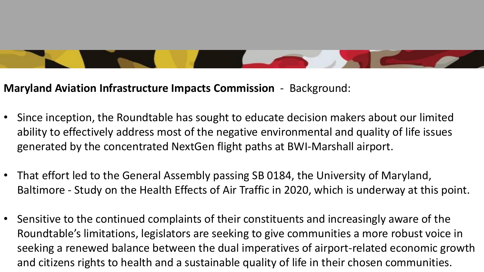## **Maryland Aviation Infrastructure Impacts Commission** - Background:

- Since inception, the Roundtable has sought to educate decision makers about our limited ability to effectively address most of the negative environmental and quality of life issues generated by the concentrated NextGen flight paths at BWI-Marshall airport.
- That effort led to the General Assembly passing SB 0184, the University of Maryland, Baltimore - Study on the Health Effects of Air Traffic in 2020, which is underway at this point.
- Sensitive to the continued complaints of their constituents and increasingly aware of the Roundtable's limitations, legislators are seeking to give communities a more robust voice in seeking a renewed balance between the dual imperatives of airport-related economic growth and citizens rights to health and a sustainable quality of life in their chosen communities.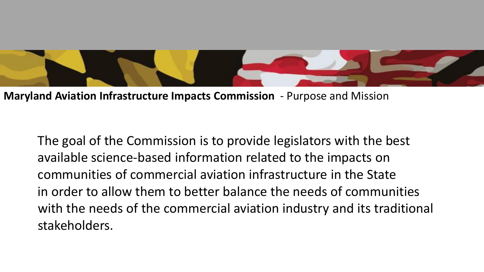

**Maryland Aviation Infrastructure Impacts Commission** - Purpose and Mission

The goal of the Commission is to provide legislators with the best available science-based information related to the impacts on communities of commercial aviation infrastructure in the State in order to allow them to better balance the needs of communities with the needs of the commercial aviation industry and its traditional stakeholders.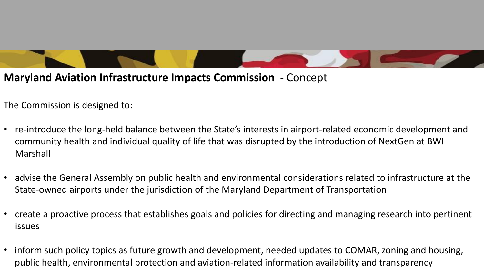

The Commission is designed to:

- re-introduce the long-held balance between the State's interests in airport-related economic development and community health and individual quality of life that was disrupted by the introduction of NextGen at BWI Marshall
- advise the General Assembly on public health and environmental considerations related to infrastructure at the State-owned airports under the jurisdiction of the Maryland Department of Transportation
- create a proactive process that establishes goals and policies for directing and managing research into pertinent issues
- inform such policy topics as future growth and development, needed updates to COMAR, zoning and housing, public health, environmental protection and aviation-related information availability and transparency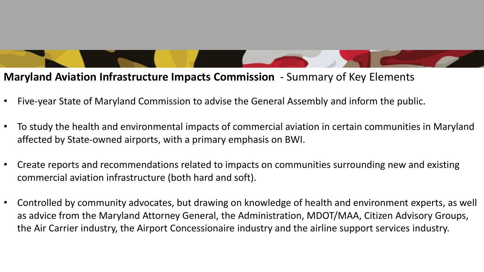#### **Maryland Aviation Infrastructure Impacts Commission** - Summary of Key Elements

- Five-year State of Maryland Commission to advise the General Assembly and inform the public.
- To study the health and environmental impacts of commercial aviation in certain communities in Maryland affected by State-owned airports, with a primary emphasis on BWI.
- Create reports and recommendations related to impacts on communities surrounding new and existing commercial aviation infrastructure (both hard and soft).
- Controlled by community advocates, but drawing on knowledge of health and environment experts, as well as advice from the Maryland Attorney General, the Administration, MDOT/MAA, Citizen Advisory Groups, the Air Carrier industry, the Airport Concessionaire industry and the airline support services industry.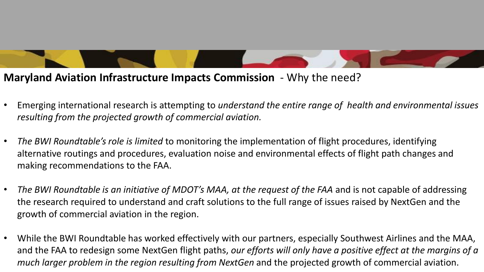**Maryland Aviation Infrastructure Impacts Commission** - Why the need?

- Emerging international research is attempting to *understand the entire range of health and environmental issues resulting from the projected growth of commercial aviation.*
- *The BWI Roundtable's role is limited* to monitoring the implementation of flight procedures, identifying alternative routings and procedures, evaluation noise and environmental effects of flight path changes and making recommendations to the FAA.
- *The BWI Roundtable is an initiative of MDOT's MAA, at the request of the FAA* and is not capable of addressing the research required to understand and craft solutions to the full range of issues raised by NextGen and the growth of commercial aviation in the region.
- While the BWI Roundtable has worked effectively with our partners, especially Southwest Airlines and the MAA, and the FAA to redesign some NextGen flight paths, *our efforts will only have a positive effect at the margins of a much larger problem in the region resulting from NextGen* and the projected growth of commercial aviation.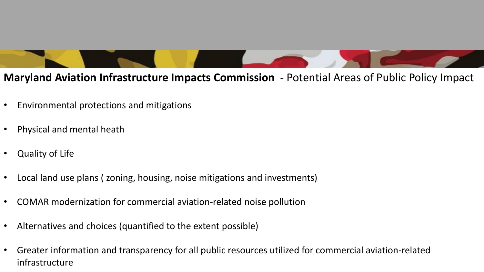

- Environmental protections and mitigations
- Physical and mental heath
- Quality of Life
- Local land use plans ( zoning, housing, noise mitigations and investments)
- COMAR modernization for commercial aviation-related noise pollution
- Alternatives and choices (quantified to the extent possible)
- Greater information and transparency for all public resources utilized for commercial aviation-related infrastructure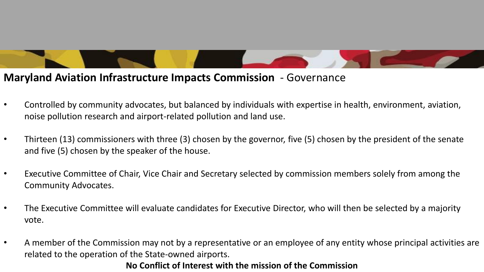#### **Maryland Aviation Infrastructure Impacts Commission** - Governance

- Controlled by community advocates, but balanced by individuals with expertise in health, environment, aviation, noise pollution research and airport-related pollution and land use.
- Thirteen (13) commissioners with three (3) chosen by the governor, five (5) chosen by the president of the senate and five (5) chosen by the speaker of the house.
- Executive Committee of Chair, Vice Chair and Secretary selected by commission members solely from among the Community Advocates.
- The Executive Committee will evaluate candidates for Executive Director, who will then be selected by a majority vote.
- A member of the Commission may not by a representative or an employee of any entity whose principal activities are related to the operation of the State-owned airports.

#### **No Conflict of Interest with the mission of the Commission**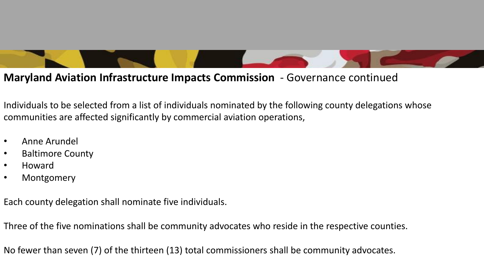#### **Maryland Aviation Infrastructure Impacts Commission** - Governance continued

Individuals to be selected from a list of individuals nominated by the following county delegations whose communities are affected significantly by commercial aviation operations,

- Anne Arundel
- Baltimore County
- Howard
- Montgomery

Each county delegation shall nominate five individuals.

Three of the five nominations shall be community advocates who reside in the respective counties.

No fewer than seven (7) of the thirteen (13) total commissioners shall be community advocates.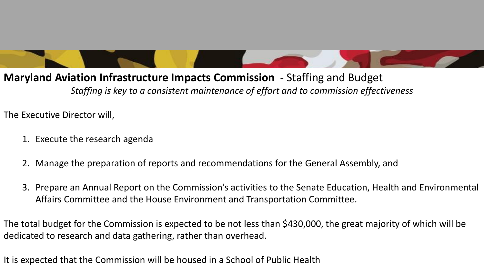**Maryland Aviation Infrastructure Impacts Commission** - Staffing and Budget *Staffing is key to a consistent maintenance of effort and to commission effectiveness*

The Executive Director will,

- 1. Execute the research agenda
- 2. Manage the preparation of reports and recommendations for the General Assembly, and
- 3. Prepare an Annual Report on the Commission's activities to the Senate Education, Health and Environmental Affairs Committee and the House Environment and Transportation Committee.

The total budget for the Commission is expected to be not less than \$430,000, the great majority of which will be dedicated to research and data gathering, rather than overhead.

It is expected that the Commission will be housed in a School of Public Health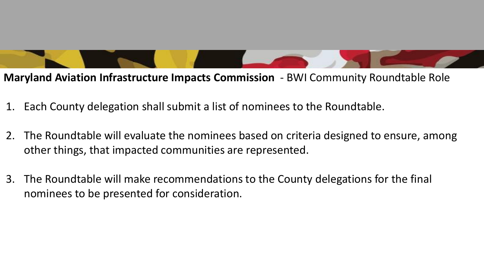**Maryland Aviation Infrastructure Impacts Commission** - BWI Community Roundtable Role

- 1. Each County delegation shall submit a list of nominees to the Roundtable.
- 2. The Roundtable will evaluate the nominees based on criteria designed to ensure, among other things, that impacted communities are represented.
- 3. The Roundtable will make recommendations to the County delegations for the final nominees to be presented for consideration.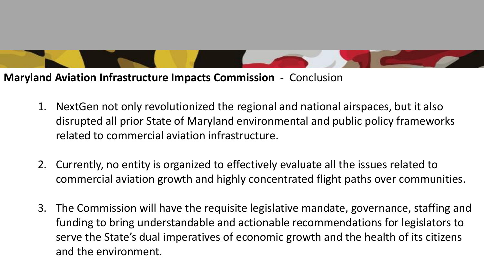**Maryland Aviation Infrastructure Impacts Commission** - Conclusion

- 1. NextGen not only revolutionized the regional and national airspaces, but it also disrupted all prior State of Maryland environmental and public policy frameworks related to commercial aviation infrastructure.
- 2. Currently, no entity is organized to effectively evaluate all the issues related to commercial aviation growth and highly concentrated flight paths over communities.
- 3. The Commission will have the requisite legislative mandate, governance, staffing and funding to bring understandable and actionable recommendations for legislators to serve the State's dual imperatives of economic growth and the health of its citizens and the environment.